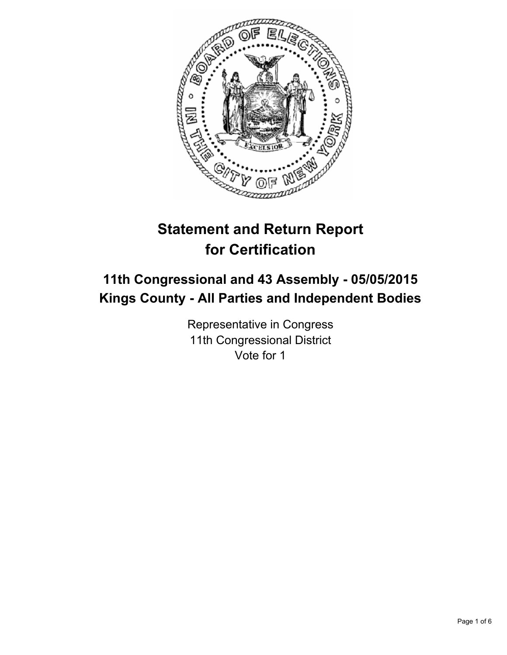

# **Statement and Return Report for Certification**

## **11th Congressional and 43 Assembly - 05/05/2015 Kings County - All Parties and Independent Bodies**

Representative in Congress 11th Congressional District Vote for 1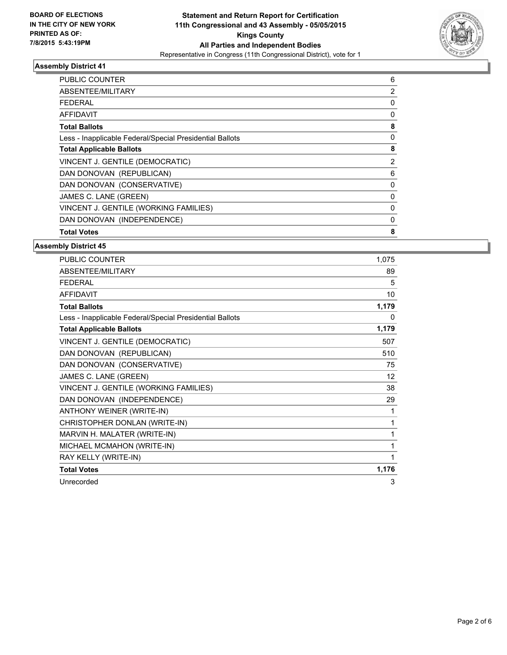

| 6        |
|----------|
| 2        |
| 0        |
| 0        |
| 8        |
| 0        |
| 8        |
| 2        |
| 6        |
| 0        |
| $\Omega$ |
| 0        |
| 0        |
| 8        |
|          |

| PUBLIC COUNTER                                           | 1,075 |
|----------------------------------------------------------|-------|
| ABSENTEE/MILITARY                                        | 89    |
| <b>FEDERAL</b>                                           | 5     |
| <b>AFFIDAVIT</b>                                         | 10    |
| <b>Total Ballots</b>                                     | 1,179 |
| Less - Inapplicable Federal/Special Presidential Ballots | 0     |
| <b>Total Applicable Ballots</b>                          | 1,179 |
| VINCENT J. GENTILE (DEMOCRATIC)                          | 507   |
| DAN DONOVAN (REPUBLICAN)                                 | 510   |
| DAN DONOVAN (CONSERVATIVE)                               | 75    |
| JAMES C. LANE (GREEN)                                    | 12    |
| VINCENT J. GENTILE (WORKING FAMILIES)                    | 38    |
| DAN DONOVAN (INDEPENDENCE)                               | 29    |
| ANTHONY WEINER (WRITE-IN)                                | 1     |
| CHRISTOPHER DONLAN (WRITE-IN)                            | 1     |
| MARVIN H. MALATER (WRITE-IN)                             | 1     |
| MICHAEL MCMAHON (WRITE-IN)                               | 1     |
| RAY KELLY (WRITE-IN)                                     | 1     |
| <b>Total Votes</b>                                       | 1,176 |
| Unrecorded                                               | 3     |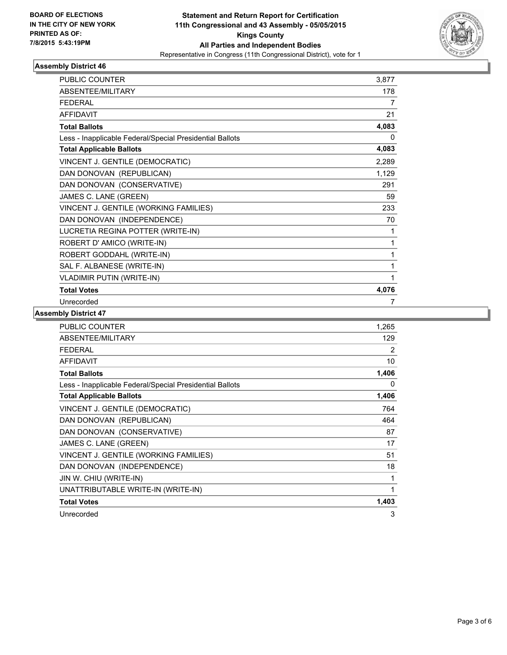

| <b>PUBLIC COUNTER</b>                                    | 3,877 |
|----------------------------------------------------------|-------|
| ABSENTEE/MILITARY                                        | 178   |
| <b>FFDFRAL</b>                                           | 7     |
| <b>AFFIDAVIT</b>                                         | 21    |
| <b>Total Ballots</b>                                     | 4,083 |
| Less - Inapplicable Federal/Special Presidential Ballots | 0     |
| <b>Total Applicable Ballots</b>                          | 4,083 |
| VINCENT J. GENTILE (DEMOCRATIC)                          | 2,289 |
| DAN DONOVAN (REPUBLICAN)                                 | 1,129 |
| DAN DONOVAN (CONSERVATIVE)                               | 291   |
| JAMES C. LANE (GREEN)                                    | 59    |
| VINCENT J. GENTILE (WORKING FAMILIES)                    | 233   |
| DAN DONOVAN (INDEPENDENCE)                               | 70    |
| LUCRETIA REGINA POTTER (WRITE-IN)                        | 1     |
| ROBERT D' AMICO (WRITE-IN)                               | 1     |
| ROBERT GODDAHL (WRITE-IN)                                | 1     |
| SAL F. ALBANESE (WRITE-IN)                               | 1     |
| <b>VLADIMIR PUTIN (WRITE-IN)</b>                         | 1     |
| <b>Total Votes</b>                                       | 4,076 |
| Unrecorded                                               | 7     |

| <b>PUBLIC COUNTER</b>                                    | 1,265 |
|----------------------------------------------------------|-------|
| ABSENTEE/MILITARY                                        | 129   |
| <b>FEDERAL</b>                                           | 2     |
| <b>AFFIDAVIT</b>                                         | 10    |
| <b>Total Ballots</b>                                     | 1,406 |
| Less - Inapplicable Federal/Special Presidential Ballots | 0     |
| <b>Total Applicable Ballots</b>                          | 1,406 |
| VINCENT J. GENTILE (DEMOCRATIC)                          | 764   |
| DAN DONOVAN (REPUBLICAN)                                 | 464   |
| DAN DONOVAN (CONSERVATIVE)                               | 87    |
| JAMES C. LANE (GREEN)                                    | 17    |
| VINCENT J. GENTILE (WORKING FAMILIES)                    | 51    |
| DAN DONOVAN (INDEPENDENCE)                               | 18    |
| JIN W. CHIU (WRITE-IN)                                   | 1     |
| UNATTRIBUTABLE WRITE-IN (WRITE-IN)                       | 1     |
| <b>Total Votes</b>                                       | 1,403 |
| Unrecorded                                               | 3     |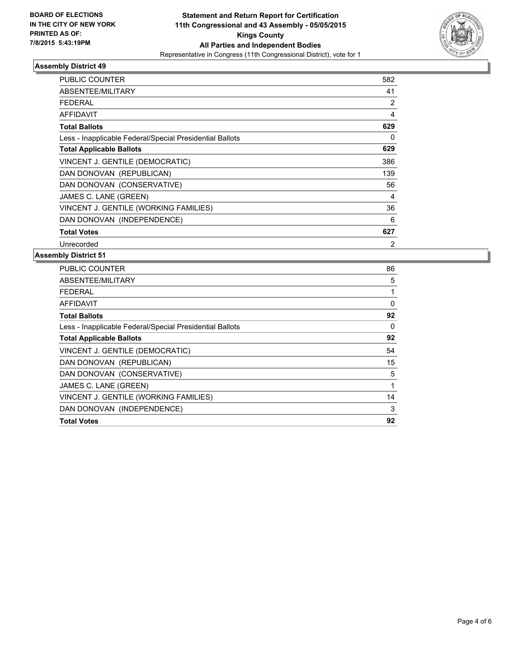

| <b>PUBLIC COUNTER</b>                                    | 582 |
|----------------------------------------------------------|-----|
| ABSENTEE/MILITARY                                        | 41  |
| FEDERAL                                                  | 2   |
| <b>AFFIDAVIT</b>                                         | 4   |
| <b>Total Ballots</b>                                     | 629 |
| Less - Inapplicable Federal/Special Presidential Ballots | 0   |
| <b>Total Applicable Ballots</b>                          | 629 |
| VINCENT J. GENTILE (DEMOCRATIC)                          | 386 |
| DAN DONOVAN (REPUBLICAN)                                 | 139 |
| DAN DONOVAN (CONSERVATIVE)                               | 56  |
| JAMES C. LANE (GREEN)                                    | 4   |
| VINCENT J. GENTILE (WORKING FAMILIES)                    | 36  |
| DAN DONOVAN (INDEPENDENCE)                               | 6   |
| <b>Total Votes</b>                                       | 627 |
| Unrecorded                                               | 2   |

| ABSENTEE/MILITARY                                        | 5  |
|----------------------------------------------------------|----|
|                                                          |    |
| FEDERAL                                                  |    |
| AFFIDAVIT                                                | 0  |
| <b>Total Ballots</b>                                     | 92 |
| Less - Inapplicable Federal/Special Presidential Ballots | 0  |
| <b>Total Applicable Ballots</b>                          | 92 |
| VINCENT J. GENTILE (DEMOCRATIC)                          | 54 |
| DAN DONOVAN (REPUBLICAN)                                 | 15 |
| DAN DONOVAN (CONSERVATIVE)                               | 5  |
| JAMES C. LANE (GREEN)                                    | 1  |
| VINCENT J. GENTILE (WORKING FAMILIES)                    | 14 |
| DAN DONOVAN (INDEPENDENCE)                               | 3  |
| <b>Total Votes</b>                                       | 92 |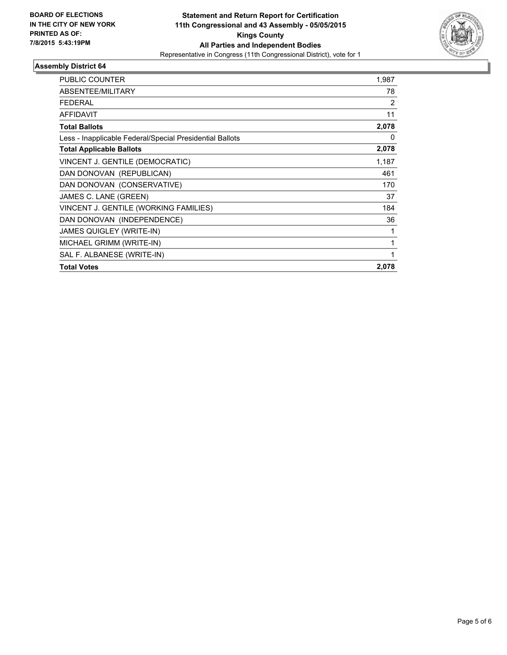

| <b>PUBLIC COUNTER</b>                                    | 1,987 |
|----------------------------------------------------------|-------|
| ABSENTEE/MILITARY                                        | 78    |
| <b>FEDERAL</b>                                           | 2     |
| AFFIDAVIT                                                | 11    |
| <b>Total Ballots</b>                                     | 2,078 |
| Less - Inapplicable Federal/Special Presidential Ballots | 0     |
| <b>Total Applicable Ballots</b>                          | 2,078 |
| VINCENT J. GENTILE (DEMOCRATIC)                          | 1,187 |
| DAN DONOVAN (REPUBLICAN)                                 | 461   |
| DAN DONOVAN (CONSERVATIVE)                               | 170   |
| JAMES C. LANE (GREEN)                                    | 37    |
| VINCENT J. GENTILE (WORKING FAMILIES)                    | 184   |
| DAN DONOVAN (INDEPENDENCE)                               | 36    |
| <b>JAMES QUIGLEY (WRITE-IN)</b>                          |       |
| MICHAEL GRIMM (WRITE-IN)                                 |       |
| SAL F. ALBANESE (WRITE-IN)                               |       |
| <b>Total Votes</b>                                       | 2,078 |